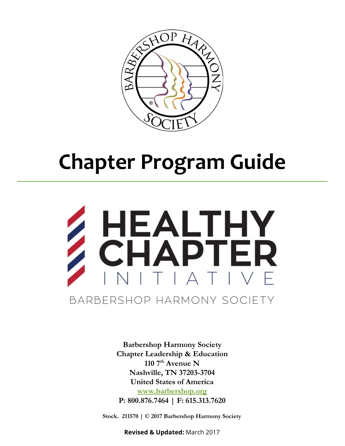

# Chapter Program Guide



Barbershop Harmony Society Chapter Leadership & Education 110  $7<sup>th</sup>$  Avenue N Nashville, TN 37203-3704 United States of America [www.barbershop.org](http://www.barbershop.org/) P: 800.876.7464 | F: 615.313.7620

Stock. 211570 | © 2017 Barbershop Harmony Society

Revised & Updated: March 2017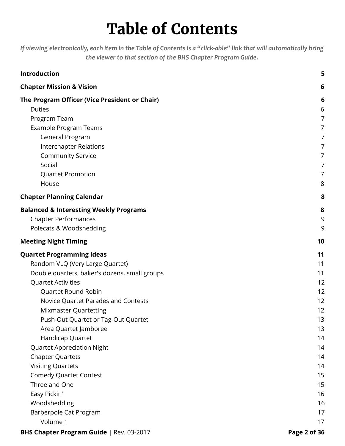# Table of Contents

If viewing electronically, each item in the Table of Contents is a "click-able" link that will automatically bring the viewer to that section of the BHS Chapter Program Guide.

| Introduction                                      | 5              |
|---------------------------------------------------|----------------|
| <b>Chapter Mission &amp; Vision</b>               | 6              |
| The Program Officer (Vice President or Chair)     | 6              |
| <b>Duties</b>                                     | 6              |
| Program Team                                      | $\overline{7}$ |
| <b>Example Program Teams</b>                      | 7              |
| General Program                                   | 7              |
| <b>Interchapter Relations</b>                     | 7              |
| <b>Community Service</b>                          | 7              |
| Social                                            | 7              |
| <b>Quartet Promotion</b>                          | 7              |
| House                                             | 8              |
| <b>Chapter Planning Calendar</b>                  | 8              |
| <b>Balanced &amp; Interesting Weekly Programs</b> | 8              |
| <b>Chapter Performances</b>                       | 9              |
| Polecats & Woodshedding                           | 9              |
| <b>Meeting Night Timing</b>                       | 10             |
| <b>Quartet Programming Ideas</b>                  | 11             |
| Random VLQ (Very Large Quartet)                   | 11             |
| Double quartets, baker's dozens, small groups     | 11             |
| <b>Quartet Activities</b>                         | 12             |
| Quartet Round Robin                               | 12             |
| Novice Quartet Parades and Contests               | 12             |
| <b>Mixmaster Quartetting</b>                      | 12             |
| Push-Out Quartet or Tag-Out Quartet               | 13             |
| Area Quartet Jamboree                             | 13             |
| Handicap Quartet                                  | 14             |
| <b>Quartet Appreciation Night</b>                 | 14             |
| <b>Chapter Quartets</b>                           | 14             |
| <b>Visiting Quartets</b>                          | 14             |
| <b>Comedy Quartet Contest</b>                     | 15             |
| Three and One                                     | 15             |
| Easy Pickin'                                      | 16             |
| Woodshedding                                      | 16             |
| Barberpole Cat Program                            | 17             |
| Volume 1                                          | 17             |
| <b>BHS Chapter Program Guide   Rev. 03-2017</b>   | Page 2 of 36   |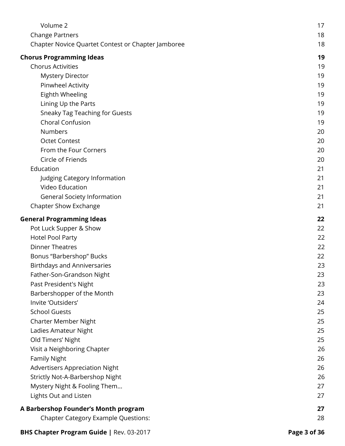| Volume 2                                           | 17 |
|----------------------------------------------------|----|
| <b>Change Partners</b>                             | 18 |
| Chapter Novice Quartet Contest or Chapter Jamboree | 18 |
| <b>Chorus Programming Ideas</b>                    | 19 |
| <b>Chorus Activities</b>                           | 19 |
| <b>Mystery Director</b>                            | 19 |
| Pinwheel Activity                                  | 19 |
| Eighth Wheeling                                    | 19 |
| Lining Up the Parts                                | 19 |
| <b>Sneaky Tag Teaching for Guests</b>              | 19 |
| Choral Confusion                                   | 19 |
| <b>Numbers</b>                                     | 20 |
| <b>Octet Contest</b>                               | 20 |
| From the Four Corners                              | 20 |
| Circle of Friends                                  | 20 |
| Education                                          | 21 |
| Judging Category Information                       | 21 |
| Video Education                                    | 21 |
| <b>General Society Information</b>                 | 21 |
| Chapter Show Exchange                              | 21 |
| <b>General Programming Ideas</b>                   | 22 |
| Pot Luck Supper & Show                             | 22 |
| <b>Hotel Pool Party</b>                            | 22 |
| <b>Dinner Theatres</b>                             | 22 |
| Bonus "Barbershop" Bucks                           | 22 |
| <b>Birthdays and Anniversaries</b>                 | 23 |
| Father-Son-Grandson Night                          | 23 |
| Past President's Night                             | 23 |
| Barbershopper of the Month                         | 23 |
| Invite 'Outsiders'                                 | 24 |
| <b>School Guests</b>                               | 25 |
| Charter Member Night                               | 25 |
| Ladies Amateur Night                               | 25 |
| Old Timers' Night                                  | 25 |
| Visit a Neighboring Chapter                        | 26 |
| <b>Family Night</b>                                | 26 |
| <b>Advertisers Appreciation Night</b>              | 26 |
| Strictly Not-A-Barbershop Night                    | 26 |
| Mystery Night & Fooling Them                       | 27 |
| Lights Out and Listen                              | 27 |
|                                                    |    |
| A Barbershop Founder's Month program               | 27 |
| <b>Chapter Category Example Questions:</b>         | 28 |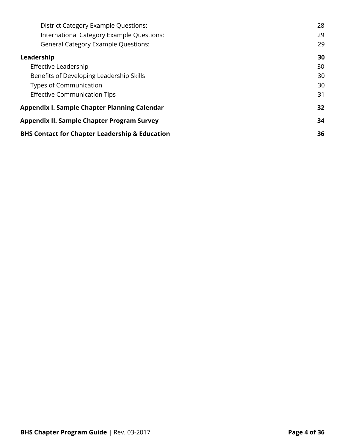| <b>District Category Example Questions:</b>               | 28 |
|-----------------------------------------------------------|----|
| International Category Example Questions:                 | 29 |
| <b>General Category Example Questions:</b>                | 29 |
| Leadership                                                | 30 |
| Effective Leadership                                      | 30 |
| Benefits of Developing Leadership Skills                  | 30 |
| <b>Types of Communication</b>                             | 30 |
| <b>Effective Communication Tips</b>                       | 31 |
| <b>Appendix I. Sample Chapter Planning Calendar</b>       | 32 |
| <b>Appendix II. Sample Chapter Program Survey</b>         | 34 |
| <b>BHS Contact for Chapter Leadership &amp; Education</b> | 36 |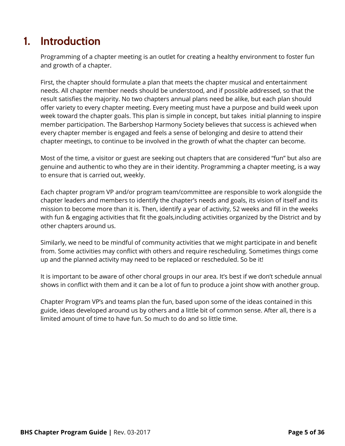## <span id="page-4-0"></span>1. Introduction

Programming of a chapter meeting is an outlet for creating a healthy environment to foster fun and growth of a chapter.

First, the chapter should formulate a plan that meets the chapter musical and entertainment needs. All chapter member needs should be understood, and if possible addressed, so that the result satisfies the majority. No two chapters annual plans need be alike, but each plan should offer variety to every chapter meeting. Every meeting must have a purpose and build week upon week toward the chapter goals. This plan is simple in concept, but takes initial planning to inspire member participation. The Barbershop Harmony Society believes that success is achieved when every chapter member is engaged and feels a sense of belonging and desire to attend their chapter meetings, to continue to be involved in the growth of what the chapter can become.

Most of the time, a visitor or guest are seeking out chapters that are considered "fun" but also are genuine and authentic to who they are in their identity. Programming a chapter meeting, is a way to ensure that is carried out, weekly.

Each chapter program VP and/or program team/committee are responsible to work alongside the chapter leaders and members to identify the chapter's needs and goals, its vision of itself and its mission to become more than it is. Then, identify a year of activity, 52 weeks and fill in the weeks with fun & engaging activities that fit the goals, including activities organized by the District and by other chapters around us.

Similarly, we need to be mindful of community activities that we might participate in and benefit from. Some activities may conflict with others and require rescheduling. Sometimes things come up and the planned activity may need to be replaced or rescheduled. So be it!

It is important to be aware of other choral groups in our area. It's best if we don't schedule annual shows in conflict with them and it can be a lot of fun to produce a joint show with another group.

Chapter Program VP's and teams plan the fun, based upon some of the ideas contained in this guide, ideas developed around us by others and a little bit of common sense. After all, there is a limited amount of time to have fun. So much to do and so little time.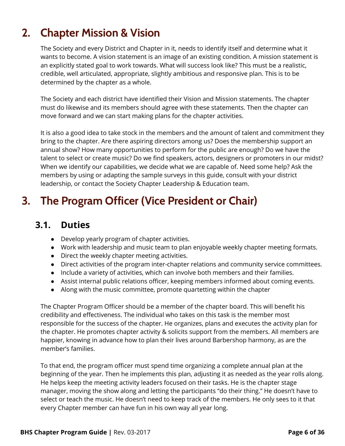# <span id="page-5-0"></span>2. Chapter Mission & Vision

The Society and every District and Chapter in it, needs to identify itself and determine what it wants to become. A vision statement is an image of an existing condition. A mission statement is an explicitly stated goal to work towards. What will success look like? This must be a realistic, credible, well articulated, appropriate, slightly ambitious and responsive plan. This is to be determined by the chapter as a whole.

The Society and each district have identified their Vision and Mission statements. The chapter must do likewise and its members should agree with these statements. Then the chapter can move forward and we can start making plans for the chapter activities.

It is also a good idea to take stock in the members and the amount of talent and commitment they bring to the chapter. Are there aspiring directors among us? Does the membership support an annual show? How many opportunities to perform for the public are enough? Do we have the talent to select or create music? Do we find speakers, actors, designers or promoters in our midst? When we identify our capabilities, we decide what we are capable of. Need some help? Ask the members by using or adapting the sample surveys in this guide, consult with your district leadership, or contact the Society Chapter Leadership & Education team.

# <span id="page-5-2"></span><span id="page-5-1"></span>3. The Program Officer (Vice President or Chair)

### 3.1. Duties

- Develop yearly program of chapter activities.
- Work with leadership and music team to plan enjoyable weekly chapter meeting formats.
- Direct the weekly chapter meeting activities.
- Direct activities of the program inter-chapter relations and community service committees.
- Include a variety of activities, which can involve both members and their families.
- Assist internal public relations officer, keeping members informed about coming events.
- Along with the music committee, promote quartetting within the chapter

The Chapter Program Officer should be a member of the chapter board. This will benefit his credibility and effectiveness. The individual who takes on this task is the member most responsible for the success of the chapter. He organizes, plans and executes the activity plan for the chapter. He promotes chapter activity & solicits support from the members. All members are happier, knowing in advance how to plan their lives around Barbershop harmony, as are the member's families.

To that end, the program officer must spend time organizing a complete annual plan at the beginning of the year. Then he implements this plan, adjusting it as needed as the year rolls along. He helps keep the meeting activity leaders focused on their tasks. He is the chapter stage manager, moving the show along and letting the participants "do their thing." He doesn't have to select or teach the music. He doesn't need to keep track of the members. He only sees to it that every Chapter member can have fun in his own way all year long.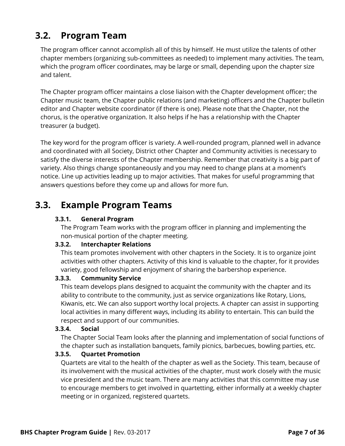### <span id="page-6-0"></span>3.2. Program Team

The program officer cannot accomplish all of this by himself. He must utilize the talents of other chapter members (organizing sub-committees as needed) to implement many activities. The team, which the program officer coordinates, may be large or small, depending upon the chapter size and talent.

The Chapter program officer maintains a close liaison with the Chapter development officer; the Chapter music team, the Chapter public relations (and marketing) officers and the Chapter bulletin editor and Chapter website coordinator (if there is one). Please note that the Chapter, not the chorus, is the operative organization. It also helps if he has a relationship with the Chapter treasurer (a budget).

The key word for the program officer is variety. A well-rounded program, planned well in advance and coordinated with all Society, District other Chapter and Community activities is necessary to satisfy the diverse interests of the Chapter membership. Remember that creativity is a big part of variety. Also things change spontaneously and you may need to change plans at a moment's notice. Line up activities leading up to major activities. That makes for useful programming that answers questions before they come up and allows for more fun.

### <span id="page-6-2"></span><span id="page-6-1"></span>3.3. Example Program Teams

#### 3.3.1. General Program

The Program Team works with the program officer in planning and implementing the non-musical portion of the chapter meeting.

#### <span id="page-6-3"></span>3.3.2. Interchapter Relations

This team promotes involvement with other chapters in the Society. It is to organize joint activities with other chapters. Activity of this kind is valuable to the chapter, for it provides variety, good fellowship and enjoyment of sharing the barbershop experience.

#### <span id="page-6-4"></span>3.3.3. Community Service

This team develops plans designed to acquaint the community with the chapter and its ability to contribute to the community, just as service organizations like Rotary, Lions, Kiwanis, etc. We can also support worthy local projects. A chapter can assist in supporting local activities in many different ways, including its ability to entertain. This can build the respect and support of our communities.

#### <span id="page-6-5"></span>3.3.4. Social

The Chapter Social Team looks after the planning and implementation of social functions of the chapter such as installation banquets, family picnics, barbecues, bowling parties, etc.

#### <span id="page-6-6"></span>3.3.5. Quartet Promotion

Quartets are vital to the health of the chapter as well as the Society. This team, because of its involvement with the musical activities of the chapter, must work closely with the music vice president and the music team. There are many activities that this committee may use to encourage members to get involved in quartetting, either informally at a weekly chapter meeting or in organized, registered quartets.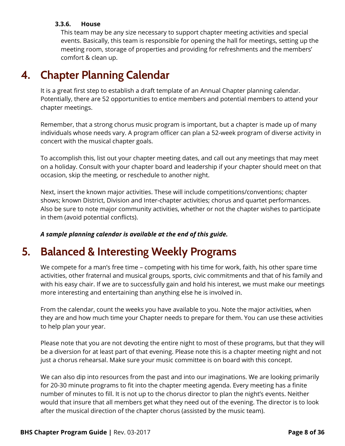#### <span id="page-7-0"></span>3.3.6. House

This team may be any size necessary to support chapter meeting activities and special events. Basically, this team is responsible for opening the hall for meetings, setting up the meeting room, storage of properties and providing for refreshments and the members' comfort & clean up.

# <span id="page-7-1"></span>4. Chapter Planning Calendar

It is a great first step to establish a draft template of an Annual Chapter planning calendar. Potentially, there are 52 opportunities to entice members and potential members to attend your chapter meetings.

Remember, that a strong chorus music program is important, but a chapter is made up of many individuals whose needs vary. A program officer can plan a 52-week program of diverse activity in concert with the musical chapter goals.

To accomplish this, list out your chapter meeting dates, and call out any meetings that may meet on a holiday. Consult with your chapter board and leadership if your chapter should meet on that occasion, skip the meeting, or reschedule to another night.

Next, insert the known major activities. These will include competitions/conventions; chapter shows; known District, Division and Inter-chapter activities; chorus and quartet performances. Also be sure to note major community activities, whether or not the chapter wishes to participate in them (avoid potential conflicts).

A sample planning calendar is available at the end of this guide.

# <span id="page-7-2"></span>5. Balanced & Interesting Weekly Programs

We compete for a man's free time – competing with his time for work, faith, his other spare time activities, other fraternal and musical groups, sports, civic commitments and that of his family and with his easy chair. If we are to successfully gain and hold his interest, we must make our meetings more interesting and entertaining than anything else he is involved in.

From the calendar, count the weeks you have available to you. Note the major activities, when they are and how much time your Chapter needs to prepare for them. You can use these activities to help plan your year.

Please note that you are not devoting the entire night to most of these programs, but that they will be a diversion for at least part of that evening. Please note this is a chapter meeting night and not just a chorus rehearsal. Make sure your music committee is on board with this concept.

We can also dip into resources from the past and into our imaginations. We are looking primarily for 20-30 minute programs to fit into the chapter meeting agenda. Every meeting has a finite number of minutes to fill. It is not up to the chorus director to plan the night's events. Neither would that insure that all members get what they need out of the evening. The director is to look after the musical direction of the chapter chorus (assisted by the music team).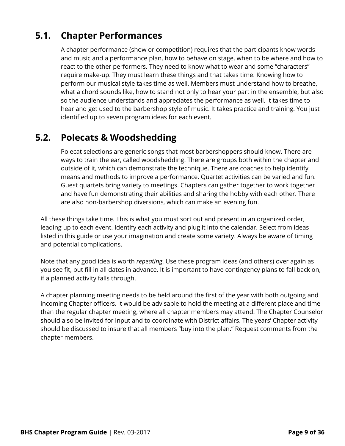### <span id="page-8-0"></span>5.1. Chapter Performances

A chapter performance (show or competition) requires that the participants know words and music and a performance plan, how to behave on stage, when to be where and how to react to the other performers. They need to know what to wear and some "characters" require make-up. They must learn these things and that takes time. Knowing how to perform our musical style takes time as well. Members must understand how to breathe, what a chord sounds like, how to stand not only to hear your part in the ensemble, but also so the audience understands and appreciates the performance as well. It takes time to hear and get used to the barbershop style of music. It takes practice and training. You just identified up to seven program ideas for each event.

### <span id="page-8-1"></span>5.2. Polecats & Woodshedding

Polecat selections are generic songs that most barbershoppers should know. There are ways to train the ear, called woodshedding. There are groups both within the chapter and outside of it, which can demonstrate the technique. There are coaches to help identify means and methods to improve a performance. Quartet activities can be varied and fun. Guest quartets bring variety to meetings. Chapters can gather together to work together and have fun demonstrating their abilities and sharing the hobby with each other. There are also non-barbershop diversions, which can make an evening fun.

All these things take time. This is what you must sort out and present in an organized order, leading up to each event. Identify each activity and plug it into the calendar. Select from ideas listed in this guide or use your imagination and create some variety. Always be aware of timing and potential complications.

Note that any good idea is worth repeating. Use these program ideas (and others) over again as you see fit, but fill in all dates in advance. It is important to have contingency plans to fall back on, if a planned activity falls through.

A chapter planning meeting needs to be held around the first of the year with both outgoing and incoming Chapter officers. It would be advisable to hold the meeting at a different place and time than the regular chapter meeting, where all chapter members may attend. The Chapter Counselor should also be invited for input and to coordinate with District affairs. The years' Chapter activity should be discussed to insure that all members "buy into the plan." Request comments from the chapter members.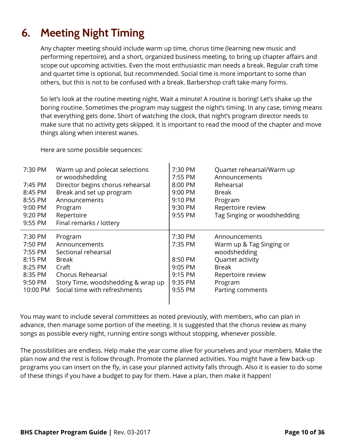# <span id="page-9-0"></span>6. Meeting Night Timing

Any chapter meeting should include warm up time, chorus time (learning new music and performing repertoire), and a short, organized business meeting, to bring up chapter affairs and scope out upcoming activities. Even the most enthusiastic man needs a break. Regular craft time and quartet time is optional, but recommended. Social time is more important to some than others, but this is not to be confused with a break. Barbershop craft take many forms.

So let's look at the routine meeting night. Wait a minute! A routine is boring! Let's shake up the boring routine. Sometimes the program may suggest the night's timing. In any case, timing means that everything gets done. Short of watching the clock, that night's program director needs to make sure that no activity gets skipped. It is important to read the mood of the chapter and move things along when interest wanes.

Here are some possible sequences:

| 7:30 PM<br>7:45 PM<br>8:45 PM<br>8:55 PM<br>9:00 PM<br>9:20 PM<br>9:55 PM             | Warm up and polecat selections<br>or woodshedding<br>Director begins chorus rehearsal<br>Break and set up program<br>Announcements<br>Program<br>Repertoire<br>Final remarks / lottery | 7:30 PM<br>7:55 PM<br>8:00 PM<br>9:00 PM<br>9:10 PM<br>9:30 PM<br>9:55 PM | Quartet rehearsal/Warm up<br>Announcements<br>Rehearsal<br>Break<br>Program<br>Repertoire review<br>Tag Singing or woodshedding            |
|---------------------------------------------------------------------------------------|----------------------------------------------------------------------------------------------------------------------------------------------------------------------------------------|---------------------------------------------------------------------------|--------------------------------------------------------------------------------------------------------------------------------------------|
| 7:30 PM<br>7:50 PM<br>7:55 PM<br>8:15 PM<br>8:25 PM<br>8:35 PM<br>9:50 PM<br>10:00 PM | Program<br>Announcements<br>Sectional rehearsal<br>Break<br>Craft<br><b>Chorus Rehearsal</b><br>Story Time, woodshedding & wrap up<br>Social time with refreshments                    | 7:30 PM<br>7:35 PM<br>8:50 PM<br>9:05 PM<br>9:15 PM<br>9:35 PM<br>9:55 PM | Announcements<br>Warm up & Tag Singing or<br>woodshedding<br>Quartet activity<br>Break<br>Repertoire review<br>Program<br>Parting comments |

You may want to include several committees as noted previously, with members, who can plan in advance, then manage some portion of the meeting. It is suggested that the chorus review as many songs as possible every night, running entire songs without stopping, whenever possible.

The possibilities are endless. Help make the year come alive for yourselves and your members. Make the plan now and the rest is follow through. Promote the planned activities. You might have a few back-up programs you can insert on the fly, in case your planned activity falls through. Also it is easier to do some of these things if you have a budget to pay for them. Have a plan, then make it happen!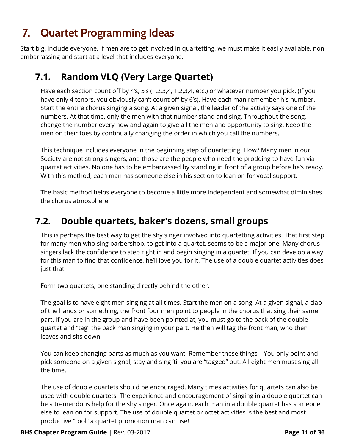# <span id="page-10-0"></span>7. Quartet Programming Ideas

<span id="page-10-1"></span>Start big, include everyone. If men are to get involved in quartetting, we must make it easily available, non embarrassing and start at a level that includes everyone.

### 7.1. Random VLQ (Very Large Quartet)

Have each section count off by 4's, 5's (1,2,3,4, 1,2,3,4, etc.) or whatever number you pick. (If you have only 4 tenors, you obviously can't count off by 6's). Have each man remember his number. Start the entire chorus singing a song. At a given signal, the leader of the activity says one of the numbers. At that time, only the men with that number stand and sing. Throughout the song, change the number every now and again to give all the men and opportunity to sing. Keep the men on their toes by continually changing the order in which you call the numbers.

This technique includes everyone in the beginning step of quartetting. How? Many men in our Society are not strong singers, and those are the people who need the prodding to have fun via quartet activities. No one has to be embarrassed by standing in front of a group before he's ready. With this method, each man has someone else in his section to lean on for vocal support.

The basic method helps everyone to become a little more independent and somewhat diminishes the chorus atmosphere.

### <span id="page-10-2"></span>7.2. Double quartets, baker's dozens, small groups

This is perhaps the best way to get the shy singer involved into quartetting activities. That first step for many men who sing barbershop, to get into a quartet, seems to be a major one. Many chorus singers lack the confidence to step right in and begin singing in a quartet. If you can develop a way for this man to find that confidence, he'll love you for it. The use of a double quartet activities does just that.

Form two quartets, one standing directly behind the other.

The goal is to have eight men singing at all times. Start the men on a song. At a given signal, a clap of the hands or something, the front four men point to people in the chorus that sing their same part. If you are in the group and have been pointed at, you must go to the back of the double quartet and "tag" the back man singing in your part. He then will tag the front man, who then leaves and sits down.

You can keep changing parts as much as you want. Remember these things – You only point and pick someone on a given signal, stay and sing 'til you are "tagged" out. All eight men must sing all the time.

The use of double quartets should be encouraged. Many times activities for quartets can also be used with double quartets. The experience and encouragement of singing in a double quartet can be a tremendous help for the shy singer. Once again, each man in a double quartet has someone else to lean on for support. The use of double quartet or octet activities is the best and most productive "tool" a quartet promotion man can use!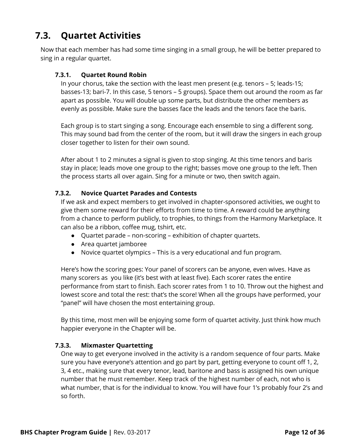### <span id="page-11-0"></span>7.3. Quartet Activities

<span id="page-11-1"></span>Now that each member has had some time singing in a small group, he will be better prepared to sing in a regular quartet.

#### 7.3.1. Quartet Round Robin

In your chorus, take the section with the least men present (e.g. tenors – 5; leads-15; basses-13; bari-7. In this case, 5 tenors – 5 groups). Space them out around the room as far apart as possible. You will double up some parts, but distribute the other members as evenly as possible. Make sure the basses face the leads and the tenors face the baris.

Each group is to start singing a song. Encourage each ensemble to sing a different song. This may sound bad from the center of the room, but it will draw the singers in each group closer together to listen for their own sound.

After about 1 to 2 minutes a signal is given to stop singing. At this time tenors and baris stay in place; leads move one group to the right; basses move one group to the left. Then the process starts all over again. Sing for a minute or two, then switch again.

#### <span id="page-11-2"></span>7.3.2. Novice Quartet Parades and Contests

If we ask and expect members to get involved in chapter-sponsored activities, we ought to give them some reward for their efforts from time to time. A reward could be anything from a chance to perform publicly, to trophies, to things from the Harmony Marketplace. It can also be a ribbon, coffee mug, tshirt, etc.

- Quartet parade non-scoring exhibition of chapter quartets.
- Area quartet jamboree
- Novice quartet olympics This is a very educational and fun program.

Here's how the scoring goes: Your panel of scorers can be anyone, even wives. Have as many scorers as you like (it's best with at least five). Each scorer rates the entire performance from start to finish. Each scorer rates from 1 to 10. Throw out the highest and lowest score and total the rest: that's the score! When all the groups have performed, your "panel" will have chosen the most entertaining group.

By this time, most men will be enjoying some form of quartet activity. Just think how much happier everyone in the Chapter will be.

#### <span id="page-11-3"></span>7.3.3. Mixmaster Quartetting

One way to get everyone involved in the activity is a random sequence of four parts. Make sure you have everyone's attention and go part by part, getting everyone to count off 1, 2, 3, 4 etc., making sure that every tenor, lead, baritone and bass is assigned his own unique number that he must remember. Keep track of the highest number of each, not who is what number, that is for the individual to know. You will have four 1's probably four 2's and so forth.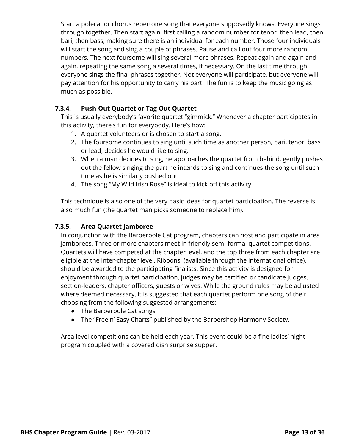Start a polecat or chorus repertoire song that everyone supposedly knows. Everyone sings through together. Then start again, first calling a random number for tenor, then lead, then bari, then bass, making sure there is an individual for each number. Those four individuals will start the song and sing a couple of phrases. Pause and call out four more random numbers. The next foursome will sing several more phrases. Repeat again and again and again, repeating the same song a several times, if necessary. On the last time through everyone sings the final phrases together. Not everyone will participate, but everyone will pay attention for his opportunity to carry his part. The fun is to keep the music going as much as possible.

#### <span id="page-12-0"></span>7.3.4. Push-Out Quartet or Tag-Out Quartet

This is usually everybody's favorite quartet "gimmick." Whenever a chapter participates in this activity, there's fun for everybody. Here's how:

- 1. A quartet volunteers or is chosen to start a song.
- 2. The foursome continues to sing until such time as another person, bari, tenor, bass or lead, decides he would like to sing.
- 3. When a man decides to sing, he approaches the quartet from behind, gently pushes out the fellow singing the part he intends to sing and continues the song until such time as he is similarly pushed out.
- 4. The song "My Wild Irish Rose" is ideal to kick off this activity.

This technique is also one of the very basic ideas for quartet participation. The reverse is also much fun (the quartet man picks someone to replace him).

#### <span id="page-12-1"></span>7.3.5. Area Quartet Jamboree

In conjunction with the Barberpole Cat program, chapters can host and participate in area jamborees. Three or more chapters meet in friendly semi-formal quartet competitions. Quartets will have competed at the chapter level, and the top three from each chapter are eligible at the inter-chapter level. Ribbons, (available through the international office), should be awarded to the participating finalists. Since this activity is designed for enjoyment through quartet participation, judges may be certified or candidate judges, section-leaders, chapter officers, guests or wives. While the ground rules may be adjusted where deemed necessary, it is suggested that each quartet perform one song of their choosing from the following suggested arrangements:

- The Barberpole Cat songs
- The "Free n' Easy Charts" published by the Barbershop Harmony Society.

Area level competitions can be held each year. This event could be a fine ladies' night program coupled with a covered dish surprise supper.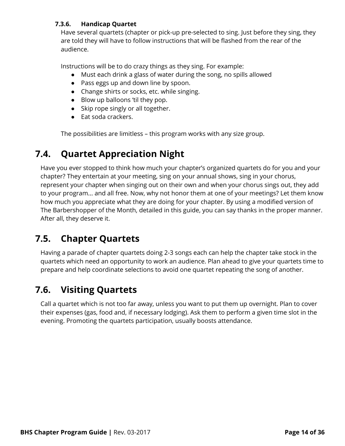#### <span id="page-13-0"></span>7.3.6. Handicap Quartet

Have several quartets (chapter or pick-up pre-selected to sing. Just before they sing, they are told they will have to follow instructions that will be flashed from the rear of the audience.

Instructions will be to do crazy things as they sing. For example:

- Must each drink a glass of water during the song, no spills allowed
- Pass eggs up and down line by spoon.
- Change shirts or socks, etc. while singing.
- Blow up balloons 'til they pop.
- Skip rope singly or all together.
- Eat soda crackers.

The possibilities are limitless – this program works with any size group.

### <span id="page-13-1"></span>7.4. Quartet Appreciation Night

Have you ever stopped to think how much your chapter's organized quartets do for you and your chapter? They entertain at your meeting, sing on your annual shows, sing in your chorus, represent your chapter when singing out on their own and when your chorus sings out, they add to your program... and all free. Now, why not honor them at one of your meetings? Let them know how much you appreciate what they are doing for your chapter. By using a modified version of The Barbershopper of the Month, detailed in this guide, you can say thanks in the proper manner. After all, they deserve it.

### <span id="page-13-2"></span>7.5. Chapter Quartets

Having a parade of chapter quartets doing 2-3 songs each can help the chapter take stock in the quartets which need an opportunity to work an audience. Plan ahead to give your quartets time to prepare and help coordinate selections to avoid one quartet repeating the song of another.

### <span id="page-13-3"></span>7.6. Visiting Quartets

Call a quartet which is not too far away, unless you want to put them up overnight. Plan to cover their expenses (gas, food and, if necessary lodging). Ask them to perform a given time slot in the evening. Promoting the quartets participation, usually boosts attendance.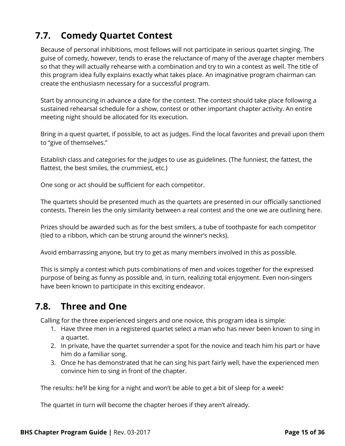### <span id="page-14-0"></span>7.7. Comedy Quartet Contest

Because of personal inhibitions, most fellows will not participate in serious quartet singing. The guise of comedy, however, tends to erase the reluctance of many of the average chapter members so that they will actually rehearse with a combination and try to win a contest as well. The title of this program idea fully explains exactly what takes place. An imaginative program chairman can create the enthusiasm necessary for a successful program.

Start by announcing in advance a date for the contest. The contest should take place following a sustained rehearsal schedule for a show, contest or other important chapter activity. An entire meeting night should be allocated for its execution.

Bring in a quest quartet, if possible, to act as judges. Find the local favorites and prevail upon them to "give of themselves."

Establish class and categories for the judges to use as guidelines. (The funniest, the fattest, the flattest, the best smiles, the crummiest, etc.)

One song or act should be sufficient for each competitor.

The quartets should be presented much as the quartets are presented in our officially sanctioned contests. Therein lies the only similarity between a real contest and the one we are outlining here.

Prizes should be awarded such as for the best smilers, a tube of toothpaste for each competitor (tied to a ribbon, which can be strung around the winner's necks).

Avoid embarrassing anyone, but try to get as many members involved in this as possible.

This is simply a contest which puts combinations of men and voices together for the expressed purpose of being as funny as possible and, in turn, realizing total enjoyment. Even non-singers have been known to participate in this exciting endeavor.

### <span id="page-14-1"></span>7.8. Three and One

Calling for the three experienced singers and one novice, this program idea is simple:

- 1. Have three men in a registered quartet select a man who has never been known to sing in a quartet.
- 2. In private, have the quartet surrender a spot for the novice and teach him his part or have him do a familiar song.
- 3. Once he has demonstrated that he can sing his part fairly well, have the experienced men convince him to sing in front of the chapter.

The results: he'll be king for a night and won't be able to get a bit of sleep for a week!

The quartet in turn will become the chapter heroes if they aren't already.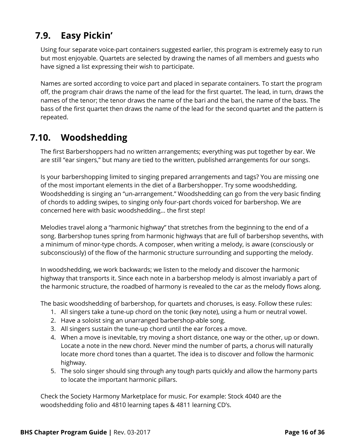### <span id="page-15-0"></span>7.9. Easy Pickin'

Using four separate voice-part containers suggested earlier, this program is extremely easy to run but most enjoyable. Quartets are selected by drawing the names of all members and guests who have signed a list expressing their wish to participate.

Names are sorted according to voice part and placed in separate containers. To start the program off, the program chair draws the name of the lead for the first quartet. The lead, in turn, draws the names of the tenor; the tenor draws the name of the bari and the bari, the name of the bass. The bass of the first quartet then draws the name of the lead for the second quartet and the pattern is repeated.

### <span id="page-15-1"></span>7.10. Woodshedding

The first Barbershoppers had no written arrangements; everything was put together by ear. We are still "ear singers," but many are tied to the written, published arrangements for our songs.

Is your barbershopping limited to singing prepared arrangements and tags? You are missing one of the most important elements in the diet of a Barbershopper. Try some woodshedding. Woodshedding is singing an "un-arrangement." Woodshedding can go from the very basic finding of chords to adding swipes, to singing only four-part chords voiced for barbershop. We are concerned here with basic woodshedding... the first step!

Melodies travel along a "harmonic highway" that stretches from the beginning to the end of a song. Barbershop tunes spring from harmonic highways that are full of barbershop sevenths, with a minimum of minor-type chords. A composer, when writing a melody, is aware (consciously or subconsciously) of the flow of the harmonic structure surrounding and supporting the melody.

In woodshedding, we work backwards; we listen to the melody and discover the harmonic highway that transports it. Since each note in a barbershop melody is almost invariably a part of the harmonic structure, the roadbed of harmony is revealed to the car as the melody flows along.

The basic woodshedding of barbershop, for quartets and choruses, is easy. Follow these rules:

- 1. All singers take a tune-up chord on the tonic (key note), using a hum or neutral vowel.
- 2. Have a soloist sing an unarranged barbershop-able song.
- 3. All singers sustain the tune-up chord until the ear forces a move.
- 4. When a move is inevitable, try moving a short distance, one way or the other, up or down. Locate a note in the new chord. Never mind the number of parts, a chorus will naturally locate more chord tones than a quartet. The idea is to discover and follow the harmonic highway.
- 5. The solo singer should sing through any tough parts quickly and allow the harmony parts to locate the important harmonic pillars.

Check the Society Harmony Marketplace for music. For example: Stock 4040 are the woodshedding folio and 4810 learning tapes & 4811 learning CD's.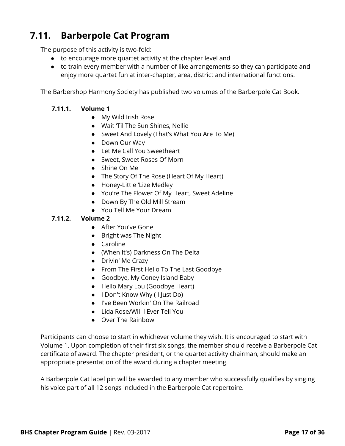### <span id="page-16-0"></span>7.11. Barberpole Cat Program

The purpose of this activity is two-fold:

- to encourage more quartet activity at the chapter level and
- to train every member with a number of like arrangements so they can participate and enjoy more quartet fun at inter-chapter, area, district and international functions.

<span id="page-16-1"></span>The Barbershop Harmony Society has published two volumes of the Barberpole Cat Book.

#### 7.11.1. Volume 1

- My Wild Irish Rose
- Wait 'Til The Sun Shines, Nellie
- Sweet And Lovely (That's What You Are To Me)
- Down Our Way
- Let Me Call You Sweetheart
- Sweet, Sweet Roses Of Morn
- Shine On Me
- The Story Of The Rose (Heart Of My Heart)
- Honey-Little 'Lize Medley
- You're The Flower Of My Heart, Sweet Adeline
- Down By The Old Mill Stream
- You Tell Me Your Dream

#### <span id="page-16-2"></span>7.11.2. Volume 2

- After You've Gone
- Bright was The Night
- Caroline
- (When It's) Darkness On The Delta
- Drivin' Me Crazy
- From The First Hello To The Last Goodbye
- Goodbye, My Coney Island Baby
- Hello Mary Lou (Goodbye Heart)
- I Don't Know Why ( I Just Do)
- I've Been Workin' On The Railroad
- Lida Rose/Will I Ever Tell You
- Over The Rainbow

Participants can choose to start in whichever volume they wish. It is encouraged to start with Volume 1. Upon completion of their first six songs, the member should receive a Barberpole Cat certificate of award. The chapter president, or the quartet activity chairman, should make an appropriate presentation of the award during a chapter meeting.

A Barberpole Cat lapel pin will be awarded to any member who successfully qualifies by singing his voice part of all 12 songs included in the Barberpole Cat repertoire.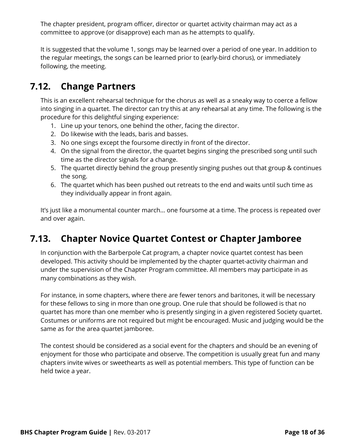The chapter president, program officer, director or quartet activity chairman may act as a committee to approve (or disapprove) each man as he attempts to qualify.

It is suggested that the volume 1, songs may be learned over a period of one year. In addition to the regular meetings, the songs can be learned prior to (early-bird chorus), or immediately following, the meeting.

### <span id="page-17-0"></span>7.12. Change Partners

This is an excellent rehearsal technique for the chorus as well as a sneaky way to coerce a fellow into singing in a quartet. The director can try this at any rehearsal at any time. The following is the procedure for this delightful singing experience:

- 1. Line up your tenors, one behind the other, facing the director.
- 2. Do likewise with the leads, baris and basses.
- 3. No one sings except the foursome directly in front of the director.
- 4. On the signal from the director, the quartet begins singing the prescribed song until such time as the director signals for a change.
- 5. The quartet directly behind the group presently singing pushes out that group & continues the song.
- 6. The quartet which has been pushed out retreats to the end and waits until such time as they individually appear in front again.

It's just like a monumental counter march... one foursome at a time. The process is repeated over and over again.

### <span id="page-17-1"></span>7.13. Chapter Novice Quartet Contest or Chapter Jamboree

In conjunction with the Barberpole Cat program, a chapter novice quartet contest has been developed. This activity should be implemented by the chapter quartet-activity chairman and under the supervision of the Chapter Program committee. All members may participate in as many combinations as they wish.

For instance, in some chapters, where there are fewer tenors and baritones, it will be necessary for these fellows to sing in more than one group. One rule that should be followed is that no quartet has more than one member who is presently singing in a given registered Society quartet. Costumes or uniforms are not required but might be encouraged. Music and judging would be the same as for the area quartet jamboree.

The contest should be considered as a social event for the chapters and should be an evening of enjoyment for those who participate and observe. The competition is usually great fun and many chapters invite wives or sweethearts as well as potential members. This type of function can be held twice a year.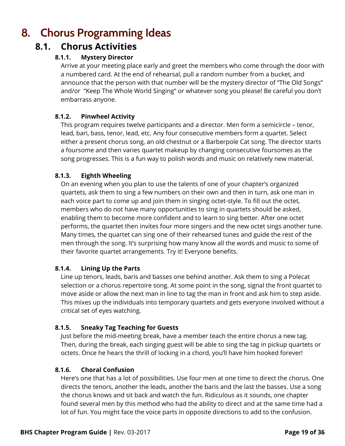# <span id="page-18-1"></span><span id="page-18-0"></span>8. Chorus Programming Ideas

### <span id="page-18-2"></span>8.1. Chorus Activities

#### 8.1.1. Mystery Director

Arrive at your meeting place early and greet the members who come through the door with a numbered card. At the end of rehearsal, pull a random number from a bucket, and announce that the person with that number will be the mystery director of "The Old Songs" and/or "Keep The Whole World Singing" or whatever song you please! Be careful you don't embarrass anyone.

#### <span id="page-18-3"></span>8.1.2. Pinwheel Activity

This program requires twelve participants and a director. Men form a semicircle – tenor, lead, bari, bass, tenor, lead, etc. Any four consecutive members form a quartet. Select either a present chorus song, an old chestnut or a Barberpole Cat song. The director starts a foursome and then varies quartet makeup by changing consecutive foursomes as the song progresses. This is a fun way to polish words and music on relatively new material.

#### <span id="page-18-4"></span>8.1.3. Eighth Wheeling

On an evening when you plan to use the talents of one of your chapter's organized quartets, ask them to sing a few numbers on their own and then in turn, ask one man in each voice part to come up and join them in singing octet-style. To fill out the octet, members who do not have many opportunities to sing in quartets should be asked, enabling them to become more confident and to learn to sing better. After one octet performs, the quartet then invites four more singers and the new octet sings another tune. Many times, the quartet can sing one of their rehearsed tunes and guide the rest of the men through the song. It's surprising how many know all the words and music to some of their favorite quartet arrangements. Try it! Everyone benefits.

#### <span id="page-18-5"></span>8.1.4. Lining Up the Parts

Line up tenors, leads, baris and basses one behind another. Ask them to sing a Polecat selection or a chorus repertoire song. At some point in the song, signal the front quartet to move aside or allow the next man in line to tag the man in front and ask him to step aside. This mixes up the individuals into temporary quartets and gets everyone involved without a critical set of eyes watching.

#### <span id="page-18-6"></span>8.1.5. Sneaky Tag Teaching for Guests

Just before the mid-meeting break, have a member teach the entire chorus a new tag. Then, during the break, each singing guest will be able to sing the tag in pickup quartets or octets. Once he hears the thrill of locking in a chord, you'll have him hooked forever!

#### <span id="page-18-7"></span>8.1.6. Choral Confusion

Here's one that has a lot of possibilities. Use four men at one time to direct the chorus. One directs the tenors, another the leads, another the baris and the last the basses. Use a song the chorus knows and sit back and watch the fun. Ridiculous as it sounds, one chapter found several men by this method who had the ability to direct and at the same time had a lot of fun. You might face the voice parts in opposite directions to add to the confusion.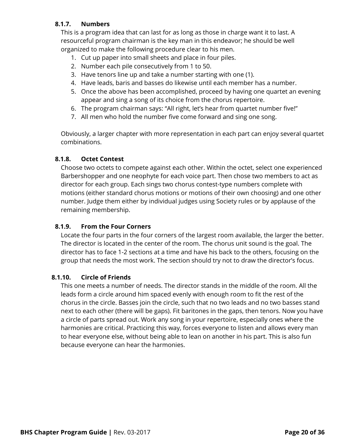#### <span id="page-19-0"></span>8.1.7. Numbers

This is a program idea that can last for as long as those in charge want it to last. A resourceful program chairman is the key man in this endeavor; he should be well organized to make the following procedure clear to his men.

- 1. Cut up paper into small sheets and place in four piles.
- 2. Number each pile consecutively from 1 to 50.
- 3. Have tenors line up and take a number starting with one (1).
- 4. Have leads, baris and basses do likewise until each member has a number.
- 5. Once the above has been accomplished, proceed by having one quartet an evening appear and sing a song of its choice from the chorus repertoire.
- 6. The program chairman says: "All right, let's hear from quartet number five!"
- 7. All men who hold the number five come forward and sing one song.

Obviously, a larger chapter with more representation in each part can enjoy several quartet combinations.

#### <span id="page-19-1"></span>8.1.8. Octet Contest

Choose two octets to compete against each other. Within the octet, select one experienced Barbershopper and one neophyte for each voice part. Then chose two members to act as director for each group. Each sings two chorus contest-type numbers complete with motions (either standard chorus motions or motions of their own choosing) and one other number. Judge them either by individual judges using Society rules or by applause of the remaining membership.

#### <span id="page-19-2"></span>8.1.9. From the Four Corners

Locate the four parts in the four corners of the largest room available, the larger the better. The director is located in the center of the room. The chorus unit sound is the goal. The director has to face 1-2 sections at a time and have his back to the others, focusing on the group that needs the most work. The section should try not to draw the director's focus.

#### <span id="page-19-3"></span>8.1.10. Circle of Friends

This one meets a number of needs. The director stands in the middle of the room. All the leads form a circle around him spaced evenly with enough room to fit the rest of the chorus in the circle. Basses join the circle, such that no two leads and no two basses stand next to each other (there will be gaps). Fit baritones in the gaps, then tenors. Now you have a circle of parts spread out. Work any song in your repertoire, especially ones where the harmonies are critical. Practicing this way, forces everyone to listen and allows every man to hear everyone else, without being able to lean on another in his part. This is also fun because everyone can hear the harmonies.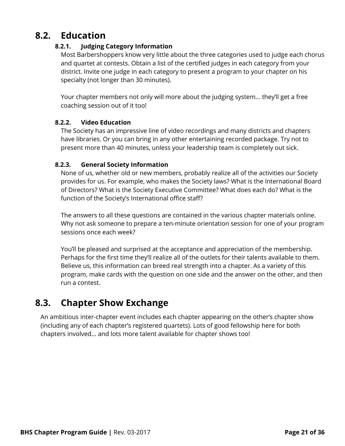### <span id="page-20-1"></span><span id="page-20-0"></span>8.2. Education

#### 8.2.1. Judging Category Information

Most Barbershoppers know very little about the three categories used to judge each chorus and quartet at contests. Obtain a list of the certified judges in each category from your district. Invite one judge in each category to present a program to your chapter on his specialty (not longer than 30 minutes).

Your chapter members not only will more about the judging system... they'll get a free coaching session out of it too!

#### <span id="page-20-2"></span>8.2.2. Video Education

The Society has an impressive line of video recordings and many districts and chapters have libraries. Or you can bring in any other entertaining recorded package. Try not to present more than 40 minutes, unless your leadership team is completely out sick.

#### <span id="page-20-3"></span>8.2.3. General Society Information

None of us, whether old or new members, probably realize all of the activities our Society provides for us. For example, who makes the Society laws? What is the International Board of Directors? What is the Society Executive Committee? What does each do? What is the function of the Society's International office staff?

The answers to all these questions are contained in the various chapter materials online. Why not ask someone to prepare a ten-minute orientation session for one of your program sessions once each week?

You'll be pleased and surprised at the acceptance and appreciation of the membership. Perhaps for the first time they'll realize all of the outlets for their talents available to them. Believe us, this information can breed real strength into a chapter. As a variety of this program, make cards with the question on one side and the answer on the other, and then run a contest.

### <span id="page-20-4"></span>8.3. Chapter Show Exchange

An ambitious inter-chapter event includes each chapter appearing on the other's chapter show (including any of each chapter's registered quartets). Lots of good fellowship here for both chapters involved... and lots more talent available for chapter shows too!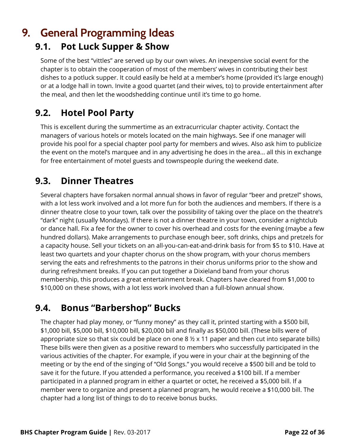# <span id="page-21-0"></span>9. General Programming Ideas

### <span id="page-21-1"></span>9.1. Pot Luck Supper & Show

Some of the best "vittles" are served up by our own wives. An inexpensive social event for the chapter is to obtain the cooperation of most of the members' wives in contributing their best dishes to a potluck supper. It could easily be held at a member's home (provided it's large enough) or at a lodge hall in town. Invite a good quartet (and their wives, to) to provide entertainment after the meal, and then let the woodshedding continue until it's time to go home.

### <span id="page-21-2"></span>9.2. Hotel Pool Party

This is excellent during the summertime as an extracurricular chapter activity. Contact the managers of various hotels or motels located on the main highways. See if one manager will provide his pool for a special chapter pool party for members and wives. Also ask him to publicize the event on the motel's marquee and in any advertising he does in the area... all this in exchange for free entertainment of motel guests and townspeople during the weekend date.

### <span id="page-21-3"></span>9.3. Dinner Theatres

Several chapters have forsaken normal annual shows in favor of regular "beer and pretzel" shows, with a lot less work involved and a lot more fun for both the audiences and members. If there is a dinner theatre close to your town, talk over the possibility of taking over the place on the theatre's "dark" night (usually Mondays). If there is not a dinner theatre in your town, consider a nightclub or dance hall. Fix a fee for the owner to cover his overhead and costs for the evening (maybe a few hundred dollars). Make arrangements to purchase enough beer, soft drinks, chips and pretzels for a capacity house. Sell your tickets on an all-you-can-eat-and-drink basis for from \$5 to \$10. Have at least two quartets and your chapter chorus on the show program, with your chorus members serving the eats and refreshments to the patrons in their chorus uniforms prior to the show and during refreshment breaks. If you can put together a Dixieland band from your chorus membership, this produces a great entertainment break. Chapters have cleared from \$1,000 to \$10,000 on these shows, with a lot less work involved than a full-blown annual show.

### <span id="page-21-4"></span>9.4. Bonus "Barbershop" Bucks

The chapter had play money, or "funny money" as they call it, printed starting with a \$500 bill, \$1,000 bill, \$5,000 bill, \$10,000 bill, \$20,000 bill and finally as \$50,000 bill. (These bills were of appropriate size so that six could be place on one 8  $\frac{1}{2}$  x 11 paper and then cut into separate bills) These bills were then given as a positive reward to members who successfully participated in the various activities of the chapter. For example, if you were in your chair at the beginning of the meeting or by the end of the singing of "Old Songs." you would receive a \$500 bill and be told to save it for the future. If you attended a performance, you received a \$100 bill. If a member participated in a planned program in either a quartet or octet, he received a \$5,000 bill. If a member were to organize and present a planned program, he would receive a \$10,000 bill. The chapter had a long list of things to do to receive bonus bucks.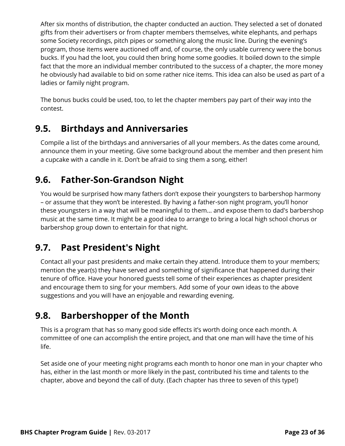After six months of distribution, the chapter conducted an auction. They selected a set of donated gifts from their advertisers or from chapter members themselves, white elephants, and perhaps some Society recordings, pitch pipes or something along the music line. During the evening's program, those items were auctioned off and, of course, the only usable currency were the bonus bucks. If you had the loot, you could then bring home some goodies. It boiled down to the simple fact that the more an individual member contributed to the success of a chapter, the more money he obviously had available to bid on some rather nice items. This idea can also be used as part of a ladies or family night program.

The bonus bucks could be used, too, to let the chapter members pay part of their way into the contest.

### <span id="page-22-0"></span>9.5. Birthdays and Anniversaries

Compile a list of the birthdays and anniversaries of all your members. As the dates come around, announce them in your meeting. Give some background about the member and then present him a cupcake with a candle in it. Don't be afraid to sing them a song, either!

### <span id="page-22-1"></span>9.6. Father-Son-Grandson Night

You would be surprised how many fathers don't expose their youngsters to barbershop harmony – or assume that they won't be interested. By having a father-son night program, you'll honor these youngsters in a way that will be meaningful to them... and expose them to dad's barbershop music at the same time. It might be a good idea to arrange to bring a local high school chorus or barbershop group down to entertain for that night.

### <span id="page-22-2"></span>9.7. Past President's Night

Contact all your past presidents and make certain they attend. Introduce them to your members; mention the year(s) they have served and something of significance that happened during their tenure of office. Have your honored guests tell some of their experiences as chapter president and encourage them to sing for your members. Add some of your own ideas to the above suggestions and you will have an enjoyable and rewarding evening.

### <span id="page-22-3"></span>9.8. Barbershopper of the Month

This is a program that has so many good side effects it's worth doing once each month. A committee of one can accomplish the entire project, and that one man will have the time of his life.

Set aside one of your meeting night programs each month to honor one man in your chapter who has, either in the last month or more likely in the past, contributed his time and talents to the chapter, above and beyond the call of duty. (Each chapter has three to seven of this type!)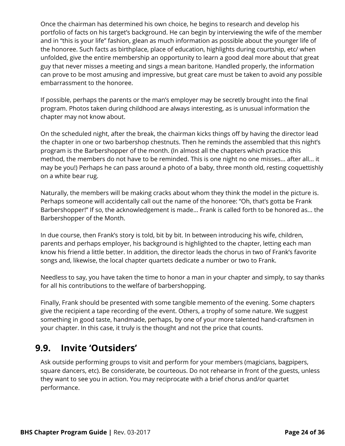Once the chairman has determined his own choice, he begins to research and develop his portfolio of facts on his target's background. He can begin by interviewing the wife of the member and in "this is your life" fashion, glean as much information as possible about the younger life of the honoree. Such facts as birthplace, place of education, highlights during courtship, etc/ when unfolded, give the entire membership an opportunity to learn a good deal more about that great guy that never misses a meeting and sings a mean baritone. Handled properly, the information can prove to be most amusing and impressive, but great care must be taken to avoid any possible embarrassment to the honoree.

If possible, perhaps the parents or the man's employer may be secretly brought into the final program. Photos taken during childhood are always interesting, as is unusual information the chapter may not know about.

On the scheduled night, after the break, the chairman kicks things off by having the director lead the chapter in one or two barbershop chestnuts. Then he reminds the assembled that this night's program is the Barbershopper of the month. (In almost all the chapters which practice this method, the members do not have to be reminded. This is one night no one misses... after all... it may be you!) Perhaps he can pass around a photo of a baby, three month old, resting coquettishly on a white bear rug.

Naturally, the members will be making cracks about whom they think the model in the picture is. Perhaps someone will accidentally call out the name of the honoree: "Oh, that's gotta be Frank Barbershopper!" If so, the acknowledgement is made... Frank is called forth to be honored as... the Barbershopper of the Month.

In due course, then Frank's story is told, bit by bit. In between introducing his wife, children, parents and perhaps employer, his background is highlighted to the chapter, letting each man know his friend a little better. In addition, the director leads the chorus in two of Frank's favorite songs and, likewise, the local chapter quartets dedicate a number or two to Frank.

Needless to say, you have taken the time to honor a man in your chapter and simply, to say thanks for all his contributions to the welfare of barbershopping.

Finally, Frank should be presented with some tangible memento of the evening. Some chapters give the recipient a tape recording of the event. Others, a trophy of some nature. We suggest something in good taste, handmade, perhaps, by one of your more talented hand-craftsmen in your chapter. In this case, it truly is the thought and not the price that counts.

### <span id="page-23-0"></span>9.9. Invite 'Outsiders'

Ask outside performing groups to visit and perform for your members (magicians, bagpipers, square dancers, etc). Be considerate, be courteous. Do not rehearse in front of the guests, unless they want to see you in action. You may reciprocate with a brief chorus and/or quartet performance.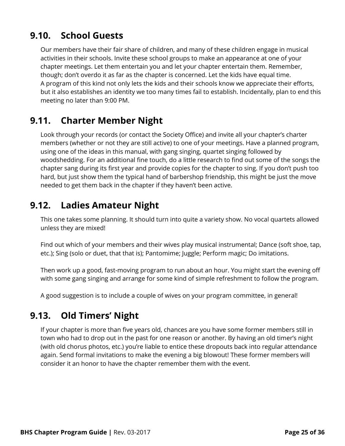### <span id="page-24-0"></span>9.10. School Guests

Our members have their fair share of children, and many of these children engage in musical activities in their schools. Invite these school groups to make an appearance at one of your chapter meetings. Let them entertain you and let your chapter entertain them. Remember, though; don't overdo it as far as the chapter is concerned. Let the kids have equal time. A program of this kind not only lets the kids and their schools know we appreciate their efforts, but it also establishes an identity we too many times fail to establish. Incidentally, plan to end this meeting no later than 9:00 PM.

### <span id="page-24-1"></span>9.11. Charter Member Night

Look through your records (or contact the Society Office) and invite all your chapter's charter members (whether or not they are still active) to one of your meetings. Have a planned program, using one of the ideas in this manual, with gang singing, quartet singing followed by woodshedding. For an additional fine touch, do a little research to find out some of the songs the chapter sang during its first year and provide copies for the chapter to sing. If you don't push too hard, but just show them the typical hand of barbershop friendship, this might be just the move needed to get them back in the chapter if they haven't been active.

### <span id="page-24-2"></span>9.12. Ladies Amateur Night

This one takes some planning. It should turn into quite a variety show. No vocal quartets allowed unless they are mixed!

Find out which of your members and their wives play musical instrumental; Dance (soft shoe, tap, etc.); Sing (solo or duet, that that is); Pantomime; Juggle; Perform magic; Do imitations.

Then work up a good, fast-moving program to run about an hour. You might start the evening off with some gang singing and arrange for some kind of simple refreshment to follow the program.

A good suggestion is to include a couple of wives on your program committee, in general!

### <span id="page-24-3"></span>9.13. Old Timers' Night

If your chapter is more than five years old, chances are you have some former members still in town who had to drop out in the past for one reason or another. By having an old timer's night (with old chorus photos, etc.) you're liable to entice these dropouts back into regular attendance again. Send formal invitations to make the evening a big blowout! These former members will consider it an honor to have the chapter remember them with the event.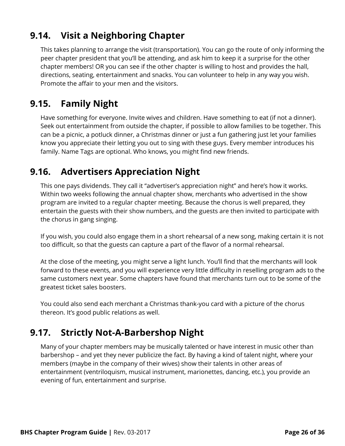### <span id="page-25-0"></span>9.14. Visit a Neighboring Chapter

This takes planning to arrange the visit (transportation). You can go the route of only informing the peer chapter president that you'll be attending, and ask him to keep it a surprise for the other chapter members! OR you can see if the other chapter is willing to host and provides the hall, directions, seating, entertainment and snacks. You can volunteer to help in any way you wish. Promote the affair to your men and the visitors.

### <span id="page-25-1"></span>9.15. Family Night

Have something for everyone. Invite wives and children. Have something to eat (if not a dinner). Seek out entertainment from outside the chapter, if possible to allow families to be together. This can be a picnic, a potluck dinner, a Christmas dinner or just a fun gathering just let your families know you appreciate their letting you out to sing with these guys. Every member introduces his family. Name Tags are optional. Who knows, you might find new friends.

### <span id="page-25-2"></span>9.16. Advertisers Appreciation Night

This one pays dividends. They call it "advertiser's appreciation night" and here's how it works. Within two weeks following the annual chapter show, merchants who advertised in the show program are invited to a regular chapter meeting. Because the chorus is well prepared, they entertain the guests with their show numbers, and the guests are then invited to participate with the chorus in gang singing.

If you wish, you could also engage them in a short rehearsal of a new song, making certain it is not too difficult, so that the guests can capture a part of the flavor of a normal rehearsal.

At the close of the meeting, you might serve a light lunch. You'll find that the merchants will look forward to these events, and you will experience very little difficulty in reselling program ads to the same customers next year. Some chapters have found that merchants turn out to be some of the greatest ticket sales boosters.

You could also send each merchant a Christmas thank-you card with a picture of the chorus thereon. It's good public relations as well.

### <span id="page-25-3"></span>9.17. Strictly Not-A-Barbershop Night

Many of your chapter members may be musically talented or have interest in music other than barbershop – and yet they never publicize the fact. By having a kind of talent night, where your members (maybe in the company of their wives) show their talents in other areas of entertainment (ventriloquism, musical instrument, marionettes, dancing, etc.), you provide an evening of fun, entertainment and surprise.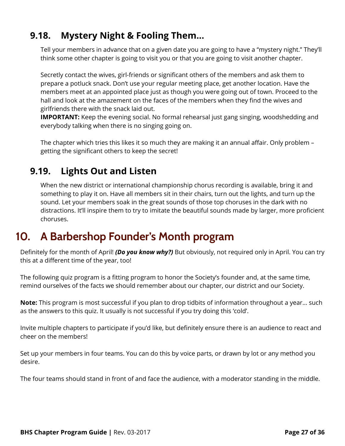### <span id="page-26-0"></span>9.18. Mystery Night & Fooling Them...

Tell your members in advance that on a given date you are going to have a "mystery night." They'll think some other chapter is going to visit you or that you are going to visit another chapter.

Secretly contact the wives, girl-friends or significant others of the members and ask them to prepare a potluck snack. Don't use your regular meeting place, get another location. Have the members meet at an appointed place just as though you were going out of town. Proceed to the hall and look at the amazement on the faces of the members when they find the wives and girlfriends there with the snack laid out.

IMPORTANT: Keep the evening social. No formal rehearsal just gang singing, woodshedding and everybody talking when there is no singing going on.

The chapter which tries this likes it so much they are making it an annual affair. Only problem  $$ getting the significant others to keep the secret!

### <span id="page-26-1"></span>9.19. Lights Out and Listen

When the new district or international championship chorus recording is available, bring it and something to play it on. Have all members sit in their chairs, turn out the lights, and turn up the sound. Let your members soak in the great sounds of those top choruses in the dark with no distractions. It'll inspire them to try to imitate the beautiful sounds made by larger, more proficient choruses.

# <span id="page-26-2"></span>10. A Barbershop Founder's Month program

Definitely for the month of April! (Do you know why?) But obviously, not required only in April. You can try this at a different time of the year, too!

The following quiz program is a fitting program to honor the Society's founder and, at the same time, remind ourselves of the facts we should remember about our chapter, our district and our Society.

**Note:** This program is most successful if you plan to drop tidbits of information throughout a year... such as the answers to this quiz. It usually is not successful if you try doing this 'cold'.

Invite multiple chapters to participate if you'd like, but definitely ensure there is an audience to react and cheer on the members!

Set up your members in four teams. You can do this by voice parts, or drawn by lot or any method you desire.

The four teams should stand in front of and face the audience, with a moderator standing in the middle.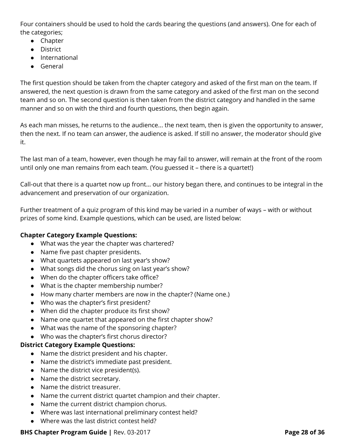Four containers should be used to hold the cards bearing the questions (and answers). One for each of the categories;

- Chapter
- District
- International
- General

The first question should be taken from the chapter category and asked of the first man on the team. If answered, the next question is drawn from the same category and asked of the first man on the second team and so on. The second question is then taken from the district category and handled in the same manner and so on with the third and fourth questions, then begin again.

As each man misses, he returns to the audience... the next team, then is given the opportunity to answer, then the next. If no team can answer, the audience is asked. If still no answer, the moderator should give it.

The last man of a team, however, even though he may fail to answer, will remain at the front of the room until only one man remains from each team. (You guessed it – there is a quartet!)

Call-out that there is a quartet now up front… our history began there, and continues to be integral in the advancement and preservation of our organization.

Further treatment of a quiz program of this kind may be varied in a number of ways – with or without prizes of some kind. Example questions, which can be used, are listed below:

#### <span id="page-27-0"></span>Chapter Category Example Questions:

- What was the year the chapter was chartered?
- Name five past chapter presidents.
- What quartets appeared on last year's show?
- What songs did the chorus sing on last year's show?
- When do the chapter officers take office?
- What is the chapter membership number?
- How many charter members are now in the chapter? (Name one.)
- Who was the chapter's first president?
- When did the chapter produce its first show?
- Name one quartet that appeared on the first chapter show?
- What was the name of the sponsoring chapter?
- Who was the chapter's first chorus director?

#### <span id="page-27-1"></span>District Category Example Questions:

- Name the district president and his chapter.
- Name the district's immediate past president.
- Name the district vice president(s).
- Name the district secretary.
- Name the district treasurer.
- Name the current district quartet champion and their chapter.
- Name the current district champion chorus.
- Where was last international preliminary contest held?
- Where was the last district contest held?

#### BHS Chapter Program Guide | Rev. 03-2017 **Page 28 of 36** Page 28 of 36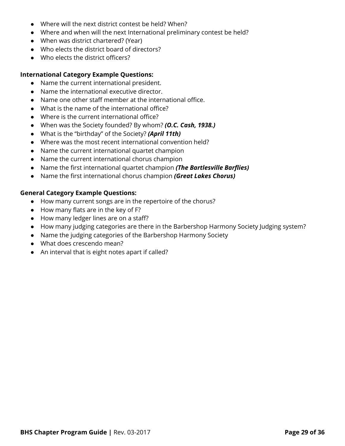- Where will the next district contest be held? When?
- Where and when will the next International preliminary contest be held?
- When was district chartered? (Year)
- Who elects the district board of directors?
- Who elects the district officers?

#### <span id="page-28-0"></span>International Category Example Questions:

- Name the current international president.
- Name the international executive director.
- Name one other staff member at the international office.
- What is the name of the international office?
- Where is the current international office?
- When was the Society founded? By whom? (O.C. Cash, 1938.)
- What is the "birthday" of the Society? (April 11th)
- Where was the most recent international convention held?
- Name the current international quartet champion
- Name the current international chorus champion
- Name the first international quartet champion (The Bartlesville Barflies)
- Name the first international chorus champion (Great Lakes Chorus)

#### <span id="page-28-1"></span>General Category Example Questions:

- How many current songs are in the repertoire of the chorus?
- How many flats are in the key of F?
- How many ledger lines are on a staff?
- How many judging categories are there in the Barbershop Harmony Society Judging system?
- Name the judging categories of the Barbershop Harmony Society
- What does crescendo mean?
- An interval that is eight notes apart if called?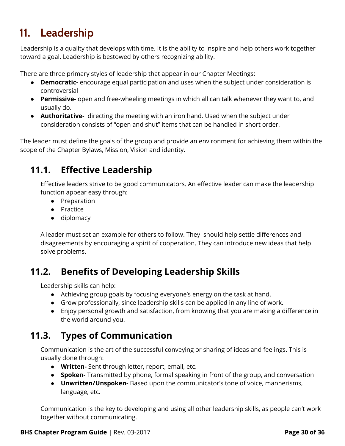# <span id="page-29-0"></span>11. Leadership

Leadership is a quality that develops with time. It is the ability to inspire and help others work together toward a goal. Leadership is bestowed by others recognizing ability.

There are three primary styles of leadership that appear in our Chapter Meetings:

- Democratic- encourage equal participation and uses when the subject under consideration is controversial
- Permissive- open and free-wheeling meetings in which all can talk whenever they want to, and usually do.
- Authoritative- directing the meeting with an iron hand. Used when the subject under consideration consists of "open and shut" items that can be handled in short order.

The leader must define the goals of the group and provide an environment for achieving them within the scope of the Chapter Bylaws, Mission, Vision and identity.

### <span id="page-29-1"></span>11.1. Effective Leadership

Effective leaders strive to be good communicators. An effective leader can make the leadership function appear easy through:

- Preparation
- Practice
- diplomacy

A leader must set an example for others to follow. They should help settle differences and disagreements by encouraging a spirit of cooperation. They can introduce new ideas that help solve problems.

### <span id="page-29-2"></span>11.2. Benefits of Developing Leadership Skills

Leadership skills can help:

- Achieving group goals by focusing everyone's energy on the task at hand.
- Grow professionally, since leadership skills can be applied in any line of work.
- Enjoy personal growth and satisfaction, from knowing that you are making a difference in the world around you.

### <span id="page-29-3"></span>11.3. Types of Communication

Communication is the art of the successful conveying or sharing of ideas and feelings. This is usually done through:

- Written- Sent through letter, report, email, etc.
- Spoken- Transmitted by phone, formal speaking in front of the group, and conversation
- Unwritten/Unspoken- Based upon the communicator's tone of voice, mannerisms, language, etc.

Communication is the key to developing and using all other leadership skills, as people can't work together without communicating.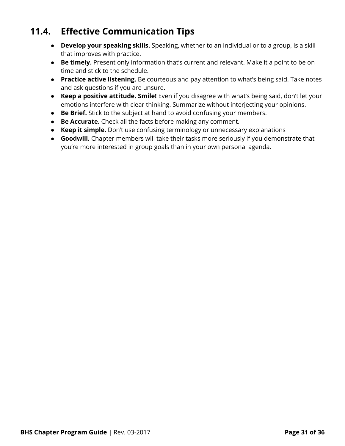### <span id="page-30-0"></span>11.4. Effective Communication Tips

- Develop your speaking skills. Speaking, whether to an individual or to a group, is a skill that improves with practice.
- Be timely. Present only information that's current and relevant. Make it a point to be on time and stick to the schedule.
- **Practice active listening.** Be courteous and pay attention to what's being said. Take notes and ask questions if you are unsure.
- Keep a positive attitude. Smile! Even if you disagree with what's being said, don't let your emotions interfere with clear thinking. Summarize without interjecting your opinions.
- Be Brief. Stick to the subject at hand to avoid confusing your members.
- Be Accurate. Check all the facts before making any comment.
- **Keep it simple.** Don't use confusing terminology or unnecessary explanations
- **Goodwill.** Chapter members will take their tasks more seriously if you demonstrate that you're more interested in group goals than in your own personal agenda.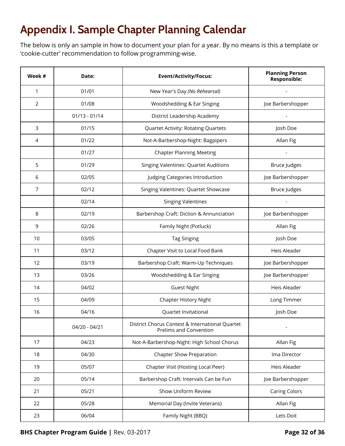# <span id="page-31-0"></span>Appendix I. Sample Chapter Planning Calendar

The below is only an sample in how to document your plan for a year. By no means is this a template or 'cookie-cutter' recommendation to follow programming-wise.

| Week #         | Date:           | <b>Event/Activity/Focus:</b>                                              | <b>Planning Person</b><br><b>Responsible:</b> |
|----------------|-----------------|---------------------------------------------------------------------------|-----------------------------------------------|
| $\mathbf{1}$   | 01/01           | New Year's Day (No Rehearsal)                                             |                                               |
| 2              | 01/08           | Woodshedding & Ear Singing                                                | Joe Barbershopper                             |
|                | $01/13 - 01/14$ | District Leadership Academy                                               |                                               |
| 3              | 01/15           | <b>Quartet Activity: Rotating Quartets</b>                                | Josh Doe                                      |
| 4              | 01/22           | Not-A-Barbershop-Night: Bagpipers                                         | Allan Fig                                     |
|                | 01/27           | <b>Chapter Planning Meeting</b>                                           |                                               |
| 5              | 01/29           | <b>Singing Valentines: Quartet Auditions</b>                              | <b>Bruce Judges</b>                           |
| 6              | 02/05           | Judging Categories Introduction                                           | Joe Barbershopper                             |
| $\overline{7}$ | 02/12           | Singing Valentines: Quartet Showcase                                      | <b>Bruce Judges</b>                           |
|                | 02/14           | <b>Singing Valentines</b>                                                 |                                               |
| 8              | 02/19           | Barbershop Craft: Diction & Annunciation                                  | Joe Barbershopper                             |
| 9              | 02/26           | Family Night (Potluck)                                                    | Allan Fig                                     |
| 10             | 03/05           | <b>Tag Singing</b>                                                        | Josh Doe                                      |
| 11             | 03/12           | Chapter Visit to Local Food Bank                                          | Heis Aleader                                  |
| 12             | 03/19           | Barbershop Craft: Warm-Up Techniques                                      | Joe Barbershopper                             |
| 13             | 03/26           | Woodshedding & Ear Singing                                                | Joe Barbershopper                             |
| 14             | 04/02           | <b>Guest Night</b>                                                        | Heis Aleader                                  |
| 15             | 04/09           | Chapter History Night                                                     | Long Timmer                                   |
| 16             | 04/16           | Quartet Invitational                                                      | Josh Doe                                      |
|                | 04/20 - 04/21   | District Chorus Contest & International Quartet<br>Prelims and Convention |                                               |
| 17             | 04/23           | Not-A-Barbershop-Night: High School Chorus                                | Allan Fig                                     |
| 18             | 04/30           | <b>Chapter Show Preparation</b>                                           | Ima Director                                  |
| 19             | 05/07           | Chapter Visit (Hosting Local Peer)                                        | Heis Aleader                                  |
| 20             | 05/14           | Barbershop Craft: Intervals Can be Fun                                    | Joe Barbershopper                             |
| 21             | 05/21           | Show Uniform Review                                                       | <b>Caring Colors</b>                          |
| 22             | 05/28           | Memorial Day (Invite Veterans)                                            | Allan Fig                                     |
| 23             | 06/04           | Family Night (BBQ)                                                        | Lets Doit                                     |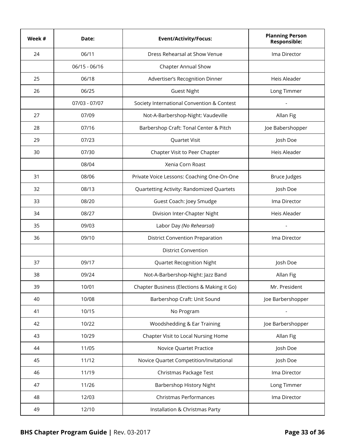| Week # | Date:         | <b>Event/Activity/Focus:</b>                | <b>Planning Person</b><br><b>Responsible:</b> |
|--------|---------------|---------------------------------------------|-----------------------------------------------|
| 24     | 06/11         | Dress Rehearsal at Show Venue               | Ima Director                                  |
|        | 06/15 - 06/16 | <b>Chapter Annual Show</b>                  |                                               |
| 25     | 06/18         | Advertiser's Recognition Dinner             | Heis Aleader                                  |
| 26     | 06/25         | <b>Guest Night</b>                          | Long Timmer                                   |
|        | 07/03 - 07/07 | Society International Convention & Contest  |                                               |
| 27     | 07/09         | Not-A-Barbershop-Night: Vaudeville          | Allan Fig                                     |
| 28     | 07/16         | Barbershop Craft: Tonal Center & Pitch      | Joe Babershopper                              |
| 29     | 07/23         | Quartet Visit                               | Josh Doe                                      |
| 30     | 07/30         | Chapter Visit to Peer Chapter               | Heis Aleader                                  |
|        | 08/04         | Xenia Corn Roast                            |                                               |
| 31     | 08/06         | Private Voice Lessons: Coaching One-On-One  | <b>Bruce Judges</b>                           |
| 32     | 08/13         | Quartetting Activity: Randomized Quartets   | Josh Doe                                      |
| 33     | 08/20         | Guest Coach: Joey Smudge                    | Ima Director                                  |
| 34     | 08/27         | Division Inter-Chapter Night                | Heis Aleader                                  |
| 35     | 09/03         | Labor Day (No Rehearsal)                    |                                               |
| 36     | 09/10         | <b>District Convention Preparation</b>      | Ima Director                                  |
|        |               | <b>District Convention</b>                  |                                               |
| 37     | 09/17         | <b>Quartet Recognition Night</b>            | Josh Doe                                      |
| 38     | 09/24         | Not-A-Barbershop-Night: Jazz Band           | Allan Fig                                     |
| 39     | 10/01         | Chapter Business (Elections & Making it Go) | Mr. President                                 |
| 40     | 10/08         | Barbershop Craft: Unit Sound                | Joe Barbershopper                             |
| 41     | 10/15         | No Program                                  |                                               |
| 42     | 10/22         | Woodshedding & Ear Training                 | Joe Barbershopper                             |
| 43     | 10/29         | Chapter Visit to Local Nursing Home         | Allan Fig                                     |
| 44     | 11/05         | Novice Quartet Practice                     | Josh Doe                                      |
| 45     | 11/12         | Novice Quartet Competition/Invitational     | Josh Doe                                      |
| 46     | 11/19         | Christmas Package Test                      | Ima Director                                  |
| 47     | 11/26         | Barbershop History Night                    | Long Timmer                                   |
| 48     | 12/03         | Christmas Performances                      | Ima Director                                  |
| 49     | 12/10         | Installation & Christmas Party              |                                               |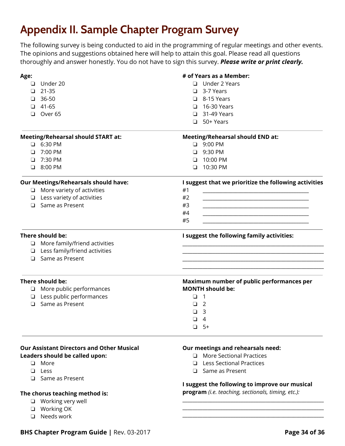# <span id="page-33-0"></span>Appendix II. Sample Chapter Program Survey

The following survey is being conducted to aid in the programming of regular meetings and other events. The opinions and suggestions obtained here will help to attain this goal. Please read all questions thoroughly and answer honestly. You do not have to sign this survey. Please write or print clearly.

| Age:   |                                                     | # of Years as a Member:                                                                         |
|--------|-----------------------------------------------------|-------------------------------------------------------------------------------------------------|
| ⊔      | Under 20                                            | □ Under 2 Years                                                                                 |
| □      | 21-35                                               | $\Box$ 3-7 Years                                                                                |
| $\Box$ | 36-50                                               | $\Box$ 8-15 Years                                                                               |
| ❏      | 41-65                                               | 16-30 Years<br>ப                                                                                |
| $\Box$ | Over <sub>65</sub>                                  | $\Box$ 31-49 Years                                                                              |
|        |                                                     | $\Box$ 50+ Years                                                                                |
|        | <b>Meeting/Rehearsal should START at:</b>           | <b>Meeting/Rehearsal should END at:</b>                                                         |
|        | $\Box$ 6:30 PM                                      | $\Box$ 9:00 PM                                                                                  |
| ❏      | 7:00 PM                                             | □ 9:30 PM                                                                                       |
| ⊔      | 7:30 PM                                             | 10:00 PM<br>❏                                                                                   |
|        | $\Box$ 8:00 PM                                      | 10:30 PM<br>◘                                                                                   |
|        | <b>Our Meetings/Rehearsals should have:</b>         | I suggest that we prioritize the following activities                                           |
|        | $\Box$ More variety of activities                   | #1                                                                                              |
|        | $\Box$ Less variety of activities                   | #2                                                                                              |
|        | □ Same as Present                                   | #3<br>the control of the control of the control of the control of the control of the control of |
|        |                                                     | #4                                                                                              |
|        |                                                     | #5                                                                                              |
|        | There should be:                                    | I suggest the following family activities:                                                      |
|        | $\Box$ More family/friend activities                |                                                                                                 |
|        | $\Box$ Less family/friend activities                |                                                                                                 |
|        | $\Box$ Same as Present                              |                                                                                                 |
|        | There should be:<br>$\Box$ More public performances | Maximum number of public performances per<br><b>MONTH should be:</b>                            |
|        | $\Box$ Less public performances                     | $\Box$ 1                                                                                        |
|        | $\Box$ Same as Present                              |                                                                                                 |
|        |                                                     | $\overline{2}$<br>❏                                                                             |
|        |                                                     | 3<br>ப                                                                                          |
|        |                                                     | $\overline{4}$<br>$\Box$                                                                        |
|        |                                                     | $\Box$<br>$5+$                                                                                  |
|        | <b>Our Assistant Directors and Other Musical</b>    | Our meetings and rehearsals need:                                                               |
|        | Leaders should be called upon:                      | <b>More Sectional Practices</b><br>$\Box$                                                       |
|        | <b>D</b> More                                       | <b>Less Sectional Practices</b><br>$\Box$                                                       |
| ◘      | Less                                                | $\Box$ Same as Present                                                                          |
|        | $\Box$ Same as Present                              |                                                                                                 |
|        |                                                     | I suggest the following to improve our musical                                                  |
|        | The chorus teaching method is:                      | program (i.e. teaching, sectionals, timing, etc.):                                              |
| $\Box$ | Working very well                                   |                                                                                                 |
|        | $\Box$ Working OK                                   |                                                                                                 |
| – ∟    | Needs work                                          |                                                                                                 |
|        |                                                     |                                                                                                 |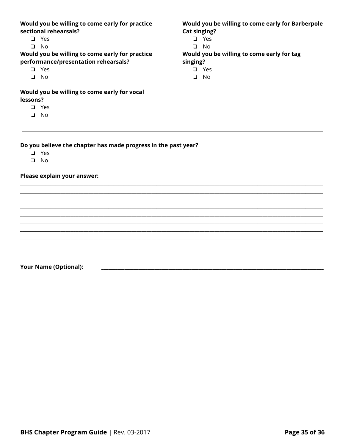#### Would you be willing to come early for practice sectional rehearsals?

- $\Box$  Yes
- $\Box$  No

#### Would you be willing to come early for practice performance/presentation rehearsals?

- $\Box$  Yes
- $\Box$  No

#### Would you be willing to come early for vocal lessons?

- $\Box$  Yes
- $\Box$  No

#### Would you be willing to come early for Barberpole **Cat singing?**

- $\Box$  Yes
- $\Box$  No

#### Would you be willing to come early for tag singing?

- $\Box$  Yes
	- $\Box$  No

#### Do you believe the chapter has made progress in the past year?

- $\Box$  Yes
- $\Box$  No

#### Please explain your answer:

**Your Name (Optional):**